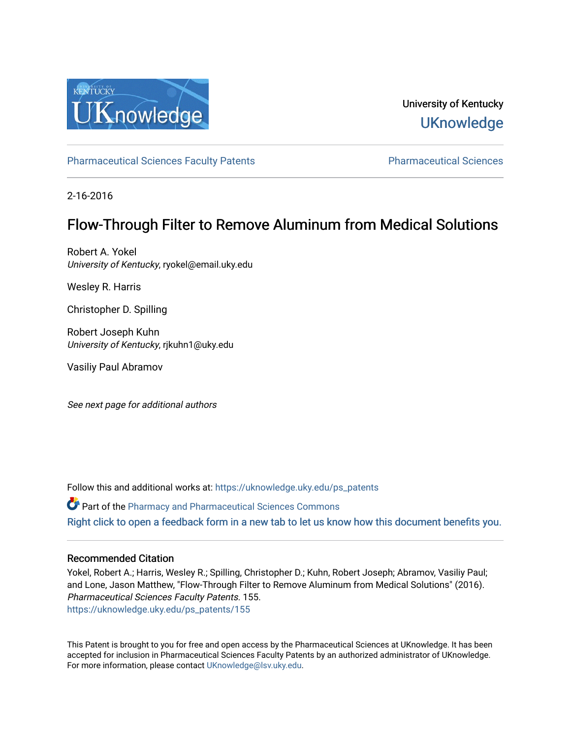

University of Kentucky **UKnowledge** 

[Pharmaceutical Sciences Faculty Patents](https://uknowledge.uky.edu/ps_patents) [Pharmaceutical Sciences](https://uknowledge.uky.edu/ps) 

2-16-2016

# Flow-Through Filter to Remove Aluminum from Medical Solutions

Robert A. Yokel University of Kentucky, ryokel@email.uky.edu

Wesley R. Harris

Christopher D. Spilling

Robert Joseph Kuhn University of Kentucky, rjkuhn1@uky.edu

Vasiliy Paul Abramov

See next page for additional authors

Follow this and additional works at: [https://uknowledge.uky.edu/ps\\_patents](https://uknowledge.uky.edu/ps_patents?utm_source=uknowledge.uky.edu%2Fps_patents%2F155&utm_medium=PDF&utm_campaign=PDFCoverPages)

Part of the [Pharmacy and Pharmaceutical Sciences Commons](http://network.bepress.com/hgg/discipline/731?utm_source=uknowledge.uky.edu%2Fps_patents%2F155&utm_medium=PDF&utm_campaign=PDFCoverPages) [Right click to open a feedback form in a new tab to let us know how this document benefits you.](https://uky.az1.qualtrics.com/jfe/form/SV_9mq8fx2GnONRfz7)

# Recommended Citation

Yokel, Robert A.; Harris, Wesley R.; Spilling, Christopher D.; Kuhn, Robert Joseph; Abramov, Vasiliy Paul; and Lone, Jason Matthew, "Flow-Through Filter to Remove Aluminum from Medical Solutions" (2016). Pharmaceutical Sciences Faculty Patents. 155. [https://uknowledge.uky.edu/ps\\_patents/155](https://uknowledge.uky.edu/ps_patents/155?utm_source=uknowledge.uky.edu%2Fps_patents%2F155&utm_medium=PDF&utm_campaign=PDFCoverPages)

This Patent is brought to you for free and open access by the Pharmaceutical Sciences at UKnowledge. It has been accepted for inclusion in Pharmaceutical Sciences Faculty Patents by an authorized administrator of UKnowledge. For more information, please contact [UKnowledge@lsv.uky.edu.](mailto:UKnowledge@lsv.uky.edu)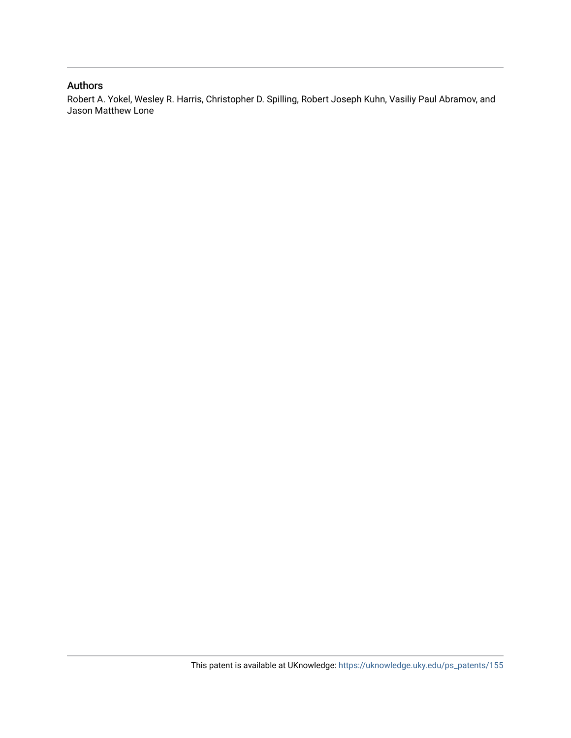# Authors

Robert A. Yokel, Wesley R. Harris, Christopher D. Spilling, Robert Joseph Kuhn, Vasiliy Paul Abramov, and Jason Matthew Lone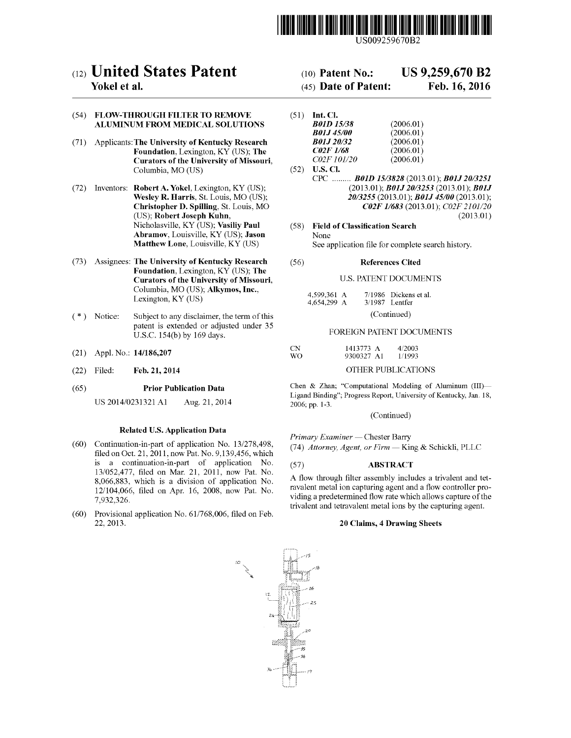

US009259670B2

# c12) **United States Patent**

## **Yokel et al.**

### (54) FLOW-THROUGH FILTER TO REMOVE ALUMINUM FROM MEDICAL SOLUTIONS

- (71) Applicants: The University of Kentucky Research Foundation, Lexington, KY (US); The Curators of the University of Missouri, Columbia, MO (US)
- (72) Inventors: Robert A. Yokel, Lexington, KY (US); Wesley R. Harris, St. Louis, MO (US); Christopher D. Spilling, St. Louis, MO (US); Robert Joseph Kuhn, Nicholasville, KY (US); Vasiliy Paul Abramov, Louisville, KY (US); Jason Matthew Lone, Louisville, KY (US)
- (73) Assignees: The University of Kentucky Research Foundation, Lexington, KY (US); The Curators of the University of Missouri, Columbia, MO (US); Alkymos, Inc., Lexington, KY (US)
- ( \*) Notice: Subject to any disclaimer, the term of this patent is extended or adjusted under 35 U.S.C. 154(b) by 169 days.
- (21) Appl. No.: 14/186,207
- (22) Filed: Feb.21,2014

#### (65) Prior Publication Data

US 2014/0231321 Al Aug. 21, 2014

#### Related U.S. Application Data

- (60) Continuation-in-part of application No. 13/278,498, filed on Oct. 21, 2011, now Pat. No. 9,139,456, which is a continuation-in-part of application No. 13/052,477, filed on Mar. 21, 2011, now Pat. No. 8,066,883, which is a division of application No. 12/104,066, filed on Apr. 16, 2008, now Pat. No. 7,932,326.
- (60) Provisional application No. 61/768,006, filed on Feb. 22,2013.

# (10) **Patent** No.: **US 9,259,670 B2**

# (45) **Date of Patent: Feb.16,2016**

| (51) | Int. Cl.                |           |
|------|-------------------------|-----------|
|      | <b>B01D 15/38</b>       | (2006.01) |
|      | <b>B01J45/00</b>        | (2006.01) |
|      | <b>B01J20/32</b>        | (2006.01) |
|      | <i><b>C02F 1/68</b></i> | (2006.01) |
|      | C02F 101/20             | (2006.01) |

 $(52)$  **U.S. Cl.** CPC ......... *BOlD 1513828* (2013.01); *B01J 2013251*  (2013.01); *B01J 2013253* (2013.01); *B01J 2013255* (2013.01); *B01J 45100* (2013.01); *C02F 11683* (2013.01); *C02F 2101/20*  (2013.01)

(58) Field of Classification Search None See application file for complete search history.

#### (56) References Cited

#### U.S. PATENT DOCUMENTS

| 4,599,361 A | 7/1986 Dickens et al. |
|-------------|-----------------------|
| 4,654,299 A | $3/1987$ Lentfer      |
|             | (Continued)           |

#### FOREIGN PATENT DOCUMENTS

| <b>CN</b> | 1413773 A  | 4/2003 |
|-----------|------------|--------|
| WO.       | 9300327 A1 | 1/1993 |

### OTHER PUBLICATIONS

Chen & Zhan; "Computational Modeling of Aluminum (III)-Ligand Binding"; Progress Report, University of Kentucky, Jan. 18, 2006; pp. 1-3.

(Continued)

*Primary Examiner-* Chester Barry (74) *Attorney, Agent, or Firm-* King & Schickli, PLLC

### (57) ABSTRACT

A flow through filter assembly includes a trivalent and tetravalent metal ion capturing agent and a flow controller providing a predetermined flow rate which allows capture of the trivalent and tetravalent metal ions by the capturing agent.

#### 20 Claims, 4 Drawing Sheets

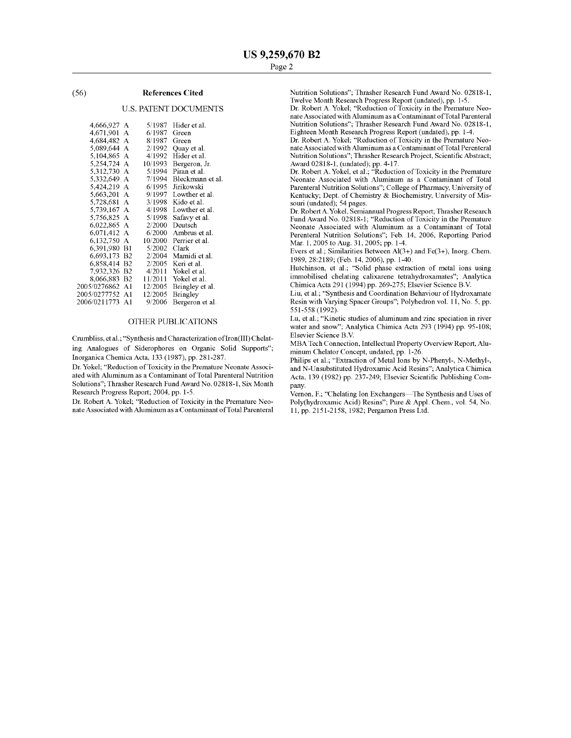#### (56) **References Cited**

#### U.S. PATENT DOCUMENTS

| 4,666,927 A  |                | 5/1987  | Hider et al.     |
|--------------|----------------|---------|------------------|
| 4,671,901    | A              | 6/1987  | Green            |
| 4.684.482 A  |                | 8/1987  | Green            |
| 5,089,644    | A              | 2/1992  | Quay et al.      |
| 5,104,865    | A              | 4/1992  | Hider et al.     |
| 5,254,724    | A              | 10/1993 | Bergeron, Jr.    |
| 5,312,730    | A              | 5/1994  | Piran et al.     |
| 5,332,649    | А              | 7/1994  | Bleckmann et al. |
| 5.424.219    | A              | 6/1995  | Jirikowski       |
| 5,663,201    | A              | 9/1997  | Lowther et al.   |
| 5,728,681    | A              | 3/1998  | Kido et al.      |
| 5,739,167    | A              | 4/1998  | Lowther et al.   |
| 5,756,825    | А              | 5/1998  | Safavy et al.    |
| 6,022,865    | А              | 2/2000  | Deutsch          |
| 6,071,412    | A              | 6/2000  | Ambrus et al.    |
| 6,132,750    | А              | 10/2000 | Perrier et al.   |
| 6,391,980    | B1             | 5/2002  | Clark            |
| 6,693,173    | B2             | 2/2004  | Mamidi et al.    |
| 6,858,414    | B <sub>2</sub> | 2/2005  | Keri et al.      |
| 7,932,326    | B2             | 4/2011  | Yokel et al.     |
| 8.066.883    | B <sub>2</sub> | 11/2011 | Yokel et al.     |
| 2005/0276862 | Αl             | 12/2005 | Bringley et al.  |
| 2005/0277752 | A1             | 12/2005 | Bringley         |
| 2006/0211773 | A1             | 9/2006  | Bergeron et al.  |
|              |                |         |                  |

#### OTHER PUBLICATIONS

Crumbliss, et al.; "Synthesis and Characterization of Iron(III) Chelating Analogues of Siderophores on Organic Solid Supports"; Inorganica Chemica Acta, 133 (1987), pp. 281-287.

Dr. Yokel; "Reduction of Toxicity in the Premature Neonate Associated with Aluminum as a Contaminant of Total Parenteral Nutrition Solutions"; Thrasher Research Fund Award No. 02818-1, Six Month Research Progress Report; 2004, pp. 1-5.

Dr. Robert A. Yokel; "Reduction of Toxicity in the Premature Neonate Associated with Aluminum as a Contaminant ofTotal Parenteral Nutrition Solutions"; Thrasher Research Fund Award No. 02818-1, Twelve Month Research Progress Report (undated), pp. 1-5.

Dr. Robert A. Yokel; "Reduction of Toxicity in the Premature Neonate Associated with Aluminum as a Contaminant ofTotal Parenteral Nutrition Solutions"; Thrasher Research Fund Award No. 02818-1, Eighteen Month Research Progress Report (undated), pp. 1-4.

Dr. Robert A. Yokel; "Reduction of Toxicity in the Premature Neonate Associated with Aluminum as a Contaminant of Total Perenteral Nutrition Solutions"; Thrasher Research Project, Scientific Abstract;

Award 02818-1, (undated); pp. 4-17. Dr. Robert A. Yokel, et al.; "Reduction of Toxicity in the Premature Neonate Associated with Aluminum as a Contaminant of Total Parenteral Nutrition Solutions"; College of Pharmacy, University of Kentucky; Dept. of Chemistry & Biochemistry, University of Missouri (undated); 54 pages.

Dr. RobertA. Yokel, Semiannual Progress Report; Thrasher Research Fund Award No. 02818-1; "Reduction of Toxicity in the Premature Neonate Associated with Aluminum as a Contaminant of Total Perenteral Nutrition Solutions"; Feb. 14, 2006, Reporting Period Mar. 1, 2005 to Aug. 31, 2005; pp. 1-4.

Evers et al.; Similarities Between  $Al(3+)$  and  $Fe(3+)$ , Inorg. Chem. 1989, 28:2189; (Feb. 14, 2006), pp. 1-40.

Hutchinson, et al.; "Solid phase extraction of metal ions using immobilised chelating calixarene tetrahydroxamates"; Analytica ChimicaActa 291 (1994) pp. 269-275; Elsevier Science B.V.

Liu, et al.; "Synthesis and Coordination Behaviour of Hydroxamate Resin with Varying Spacer Groups"; Polyhedron vol. 11, No. 5, pp. 551-558 (1992).

Lu, et al., "Kinetic studies of aluminum and zinc speciation in river water and snow"; Analytica Chimica Acta 293 (1994) pp. 95-108; Elsevier Science B.V.

MBA Tech Connection, Intellectual Property Overview Report, Aluminum Chelator Concept, undated, pp. 1-26.

Philips et al.; "Extraction of Metal Ions by N-Phenyl-, N-Methyl-, and N-Unsubstituted Hydroxamic Acid Resins"; Analytica Chimica Acta, 139 (1982) pp. 237-249; Elsevier Scientific Publishing Company.

Vernon, F.; "Chelating Ion Exchangers-The Synthesis and Uses of Poly(hydroxamic Acid) Resins"; Pure & Appl. Chern., vol. 54, No. 11, pp. 2151-2158, 1982; Pergamon Press Ltd.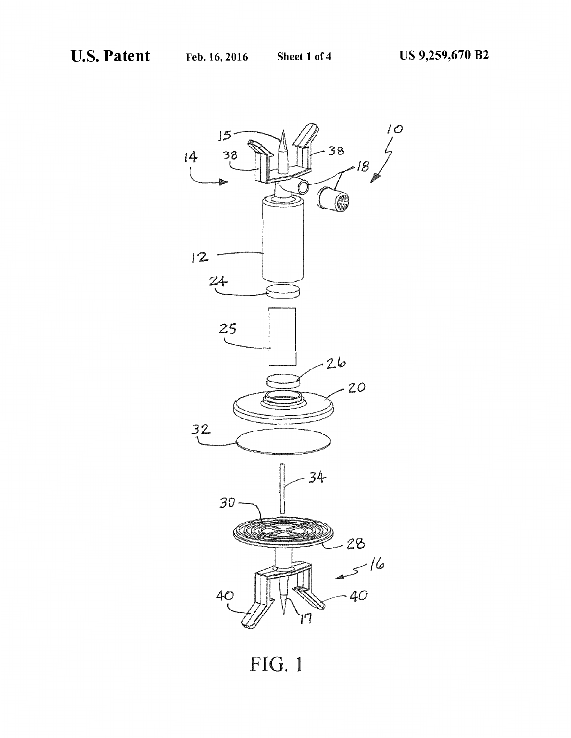

**FIG.** 1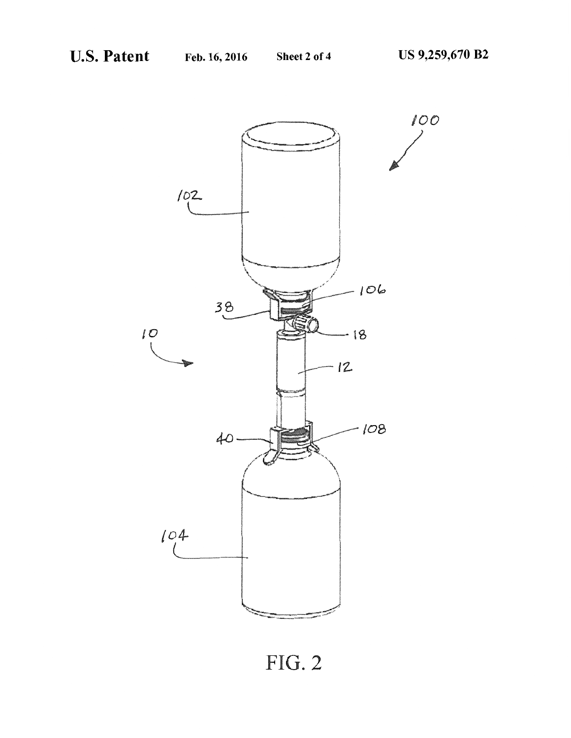

FIG. 2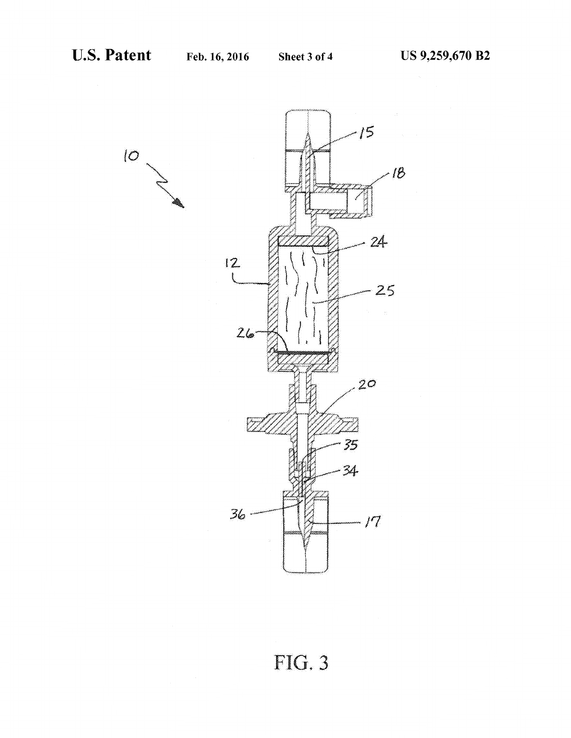

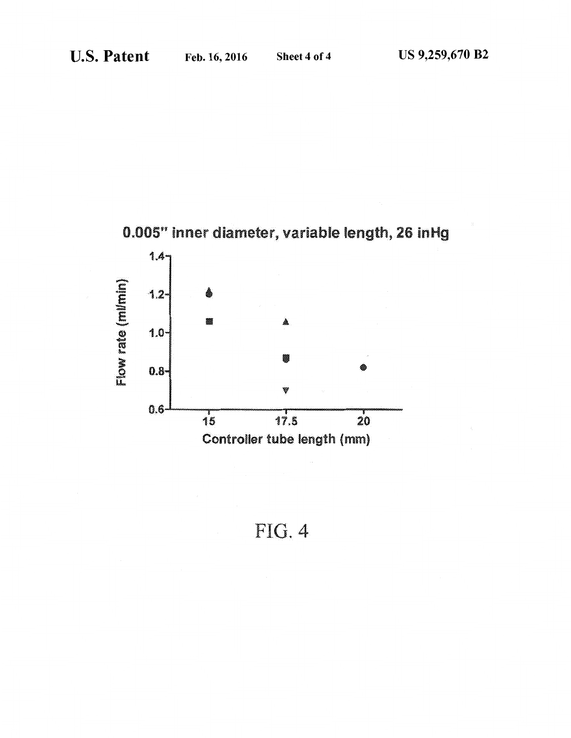



FIG. 4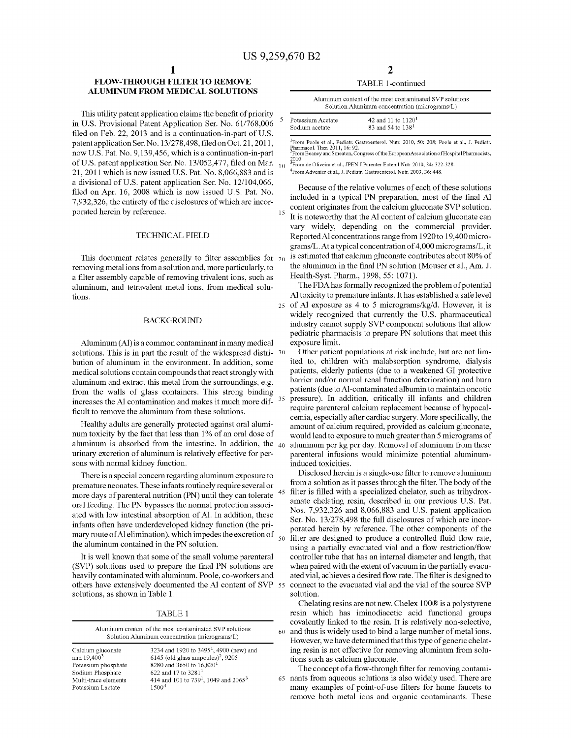15

### **FLOW-THROUGH FILTER TO REMOVE ALUMINUM FROM MEDICAL SOLUTIONS**

This utility patent application claims the benefit of priority in U.S. Provisional Patent Application Ser. No. 61/768,006 filed on Feb. 22, 2013 and is a continuation-in-part of U.S. patent application Ser. No. 13/278,498, filed on Oct. 21, 2011, now U.S. Pat. No. 9,139,456, which is a continuation-in-part of U.S. patent application Ser. No. 13/052,477, filed on Mar. <sub>10</sub> 21, 2011 which is now issued U.S. Pat. No. 8,066,883 and is a divisional of U.S. patent application Ser. No. 12/104,066, filed on Apr. 16, 2008 which is now issued U.S. Pat. No. 7,932,326, the entirety of the disclosures of which are incorporated herein by reference.

#### TECHNICAL FIELD

This document relates generally to filter assemblies for  $_{20}$ removing metal ions from a solution and, more particularly, to a filter assembly capable of removing trivalent ions, such as aluminum, and tetravalent metal ions, from medical solutions.

#### BACKGROUND

Aluminum (AI) is a common contaminant in many medical solutions. This is in part the result of the widespread distri- 30 bution of aluminum in the environment. In addition, some medical solutions contain compounds that react strongly with aluminum and extract this metal from the surroundings, e.g. from the walls of glass containers. This strong binding increases the AI contamination and makes it much more difficult to remove the aluminum from these solutions.

Healthy adults are generally protected against oral aluminum toxicity by the fact that less than 1% of an oral dose of aluminum is absorbed from the intestine. In addition, the  $_{40}$ urinary excretion of aluminum is relatively effective for persons with normal kidney function.

There is a special concern regarding aluminum exposure to premature neonates. These infants routinely require several or more days of parenteral nutrition (PN) until they can tolerate oral feeding. The PN bypasses the normal protection associated with low intestinal absorption of AI. In addition, these infants often have underdeveloped kidney function (the primary route of Al elimination), which impedes the excretion of  $\epsilon$ the aluminum contained in the PN solution.

It is well known that some of the small volume parenteral (SVP) solutions used to prepare the final PN solutions are heavily contaminated with aluminum. Poole, co-workers and others have extensively documented the AI content of SVP solutions, as shown in Table 1.

TABLE 1

| Aluminum content of the most contaminated SVP solutions<br>Solution Aluminum concentration (micrograms/L) |                                                              |  |
|-----------------------------------------------------------------------------------------------------------|--------------------------------------------------------------|--|
| Calcium gluconate                                                                                         | 3234 and 1920 to $34951$ , 4900 (new) and                    |  |
| and $19,4003$                                                                                             | 6145 (old glass ampoules) <sup>2</sup> , 9205                |  |
| Potassium phosphate                                                                                       | 8280 and 3650 to 16,820 <sup>1</sup>                         |  |
| Sodium Phosphate                                                                                          | 622 and 17 to 3281 <sup>1</sup>                              |  |
| Multi-trace elements                                                                                      | 414 and 101 to 739 <sup>1</sup> , 1049 and 2065 <sup>3</sup> |  |
| Potassium Lactate                                                                                         | 15004                                                        |  |

| TABLE 1-continued |
|-------------------|
|                   |

| Aluminum content of the most contaminated SVP solutions<br>Solution Aluminum concentration (micrograms/L) |                      |  |
|-----------------------------------------------------------------------------------------------------------|----------------------|--|
| Potassium Acetate                                                                                         | 42 and 11 to $11201$ |  |
| Sodium acetate                                                                                            | 83 and 54 to $1381$  |  |

1 From Poole et al., Pediatr. Gastroenterol. Nutr. 2010, 50: 208; Poole et al., J. Pediatr. Pharmacal. Ther. 2011, 16: 92. 2 From Beaney and Smeaton, Congress of the EuropeanAssociation ofHospital Pharmacists,

2010. 3 From de Oliveira et al., JPEN JParenterEnteral Nutr 2010,34:322-328.

4 FromAdvenier et al., J. Pediatr. Gastroenterol. Nutr. 2003,36: 448.

Because of the relative volumes of each of these solutions included in a typical PN preparation, most of the final AI content originates from the calcium gluconate SVP solution. It is noteworthy that the AI content of calcium gluconate can vary widely, depending on the commercial provider. Reported AI concentrations range from 1920 to 19,400 micrograms/L. At a typical concentration of 4,000 micrograms/L, it is estimated that calcium gluconate contributes about 80% of the aluminum in the final PN solution (Mouser et al., Am. J. Health-Syst. Pharm., 1998, 55: 1071).

The FDA has formally recognized the problem of potential AI toxicity to premature infants. It has established a safe level 25 of AI exposure as 4 to 5 micrograms/kg/d. However, it is widely recognized that currently the U.S. pharmaceutical industry cannot supply SVP component solutions that allow pediatric pharmacists to prepare PN solutions that meet this exposure limit.

Other patient populations at risk include, but are not limited to, children with malabsorption syndrome, dialysis patients, elderly patients (due to a weakened GI protective barrier and/or normal renal function deterioration) and burn patients (due to Al-contaminated albumin to maintain oncotic pressure). In addition, critically ill infants and children require parenteral calcium replacement because of hypocalcemia, especially after cardiac surgery. More specifically, the amount of calcium required, provided as calcium gluconate, would lead to exposure to much greater than 5 micrograms of aluminum per kg per day. Removal of aluminum from these parenteral infusions would minimize potential aluminuminduced toxicities.

Disclosed herein is a single-use filter to remove aluminum from a solution as it passes through the filter. The body of the filter is filled with a specialized chelator, such as trihydroxamate chelating resin, described in our previous U.S. Pat. Nos. 7,932,326 and 8,066,883 and U.S. patent application Ser. No. 13/278,498 the full disclosures of which are incorporated herein by reference. The other components of the filter are designed to produce a controlled fluid flow rate, using a partially evacuated vial and a flow restriction/flow controller tube that has an internal diameter and length, that when paired with the extent of vacuum in the partially evacuated vial, achieves a desired flow rate. The filter is designed to connect to the evacuated vial and the vial of the source SVP solution.

Chelating resins are not new. Chelex 1 00® is a polystyrene resin which has iminodiacetic acid functional groups covalently linked to the resin. It is relatively non-selective, 60 and thus is widely used to bind a large number of metal ions. However, we have determined that this type of generic chelating resin is not effective for removing aluminum from solutions such as calcium gluconate.

The concept of a flow-through filter for removing contami-65 nants from aqueous solutions is also widely used. There are many examples of point-of-use filters for home faucets to remove both metal ions and organic contaminants. These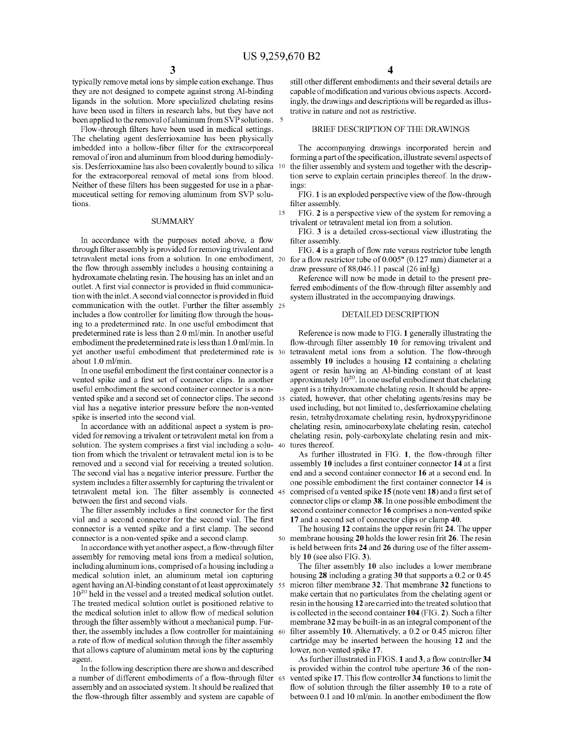15

typically remove metal ions by simple cation exchange. Thus they are not designed to compete against strong Al-binding ligands in the solution. More specialized chelating resins have been used in filters in research labs, but they have not been applied to the removal of aluminum from SVP solutions. 5

Flow-through filters have been used in medical settings. The chelating agent desferrioxamine has been physically imbedded into a hollow-fiber filter for the extracorporeal removal of iron and aluminum from blood during hemodialysis. Desferrioxamine has also been covalently bound to silica 10 for the extracorporeal removal of metal ions from blood. Neither of these filters has been suggested for use in a pharmaceutical setting for removing aluminum from SVP solutions.

#### **SUMMARY**

In accordance with the purposes noted above, a flow through filter assembly is provided for removing trivalent and tetravalent metal ions from a solution. In one embodiment, the flow through assembly includes a housing containing a hydroxamate chelating resin. The housing has an inlet and an outlet. A first vial connector is provided in fluid communication with the inlet. A second vial connector is provided in fluid communication with the outlet. Further the filter assembly 25 includes a flow controller for limiting flow through the housing to a predetermined rate. In one useful embodiment that predetermined rate is less than 2.0 ml/min. In another useful embodiment the predetermined rate is less than 1.0 ml/min. In yet another useful embodiment that predetermined rate is 30 about 1.0 ml/min.

In one useful embodiment the first container connector is a vented spike and a first set of connector clips. In another useful embodiment the second container connector is a nonvented spike and a second set of connector clips. The second vial has a negative interior pressure before the non-vented spike is inserted into the second vial.

In accordance with an additional aspect a system is provided for removing a trivalent or tetravalent metal ion from a solution. The system comprises a first vial including a solu- 40 tion from which the trivalent or tetravalent metal ion is to be removed and a second vial for receiving a treated solution. The second vial has a negative interior pressure. Further the system includes a filter assembly for capturing the trivalent or tetravalent metal ion. The filter assembly is connected between the first and second vials.

The filter assembly includes a first connector for the first vial and a second connector for the second vial. The first connector is a vented spike and a first clamp. The second connector is a non-vented spike and a second clamp.

In accordance with yet another aspect, a flow-through filter assembly for removing metal ions from a medical solution, including aluminum ions, comprised of a housing including a medical solution inlet, an aluminum metal ion capturing agent having an Al-binding constant of at least approximately 55 10<sup>20</sup> held in the vessel and a treated medical solution outlet. The treated medical solution outlet is positioned relative to the medical solution inlet to allow flow of medical solution through the filter assembly without a mechanical pump. Further, the assembly includes a flow controller for maintaining 60 a rate of flow of medical solution through the filter assembly that allows capture of aluminum metal ions by the capturing agent.

In the following description there are shown and described a number of different embodiments of a flow-through filter assembly and an associated system. It should be realized that the flow-through filter assembly and system are capable of

still other different embodiments and their several details are capable of modification and various obvious aspects. Accordingly, the drawings and descriptions will be regarded as illustrative in nature and not as restrictive.

#### BRIEF DESCRIPTION OF THE DRAWINGS

The accompanying drawings incorporated herein and forming a part of the specification, illustrate several aspects of the filter assembly and system and together with the description serve to explain certain principles thereof. In the drawings:

FIG.1 is an exploded perspective view of the flow-through filter assembly.

FIG. 2 is a perspective view of the system for removing a trivalent or tetravalent metal ion from a solution.

FIG. 3 is a detailed cross-sectional view illustrating the filter assembly.

FIG. 4 is a graph of flow rate versus restrictor tube length for a flow restrictor tube of  $0.005$ " (0.127 mm) diameter at a draw pressure of 88,046.11 pascal (26 inHg)

Reference will now be made in detail to the present preferred embodiments of the flow-through filter assembly and system illustrated in the accompanying drawings.

#### DETAILED DESCRIPTION

Reference is now made to FIG. 1 generally illustrating the flow-through filter assembly 10 for removing trivalent and tetravalent metal ions from a solution. The flow-through assembly 10 includes a housing 12 containing a chelating agent or resin having an Al-binding constant of at least approximately  $10^{20}$ . In one useful embodiment that chelating agent is a trihydroxamate chelating resin. It should be appreciated, however, that other chelating agents/resins may be used including, but not limited to, desferrioxamine chelating resin, tetrahydroxamate chelating resin, hydroxypyridinone chelating resin, aminocarboxylate chelating resin, catechol chelating resin, poly-carboxylate chelating resin and mixtures thereof.

As further illustrated in FIG. 1, the flow-through filter assembly 10 includes a first container connector 14 at a first end and a second container connector 16 at a second end. In one possible embodiment the first container connector 14 is comprised of a vented spike 15 (note vent 18) and a first set of connector clips or clamp 38. In one possible embodiment the second container connector 16 comprises a non-vented spike 17 and a second set of connector clips or clamp 40.

The housing 12 contains the upper resin frit 24. The upper 50 membrane housing 20 holds the lower resin frit 26. The resin is held between frits 24 and 26 during use of the filter assembly 10 (see also FIG. 3).

The filter assembly 10 also includes a lower membrane housing 28 including a grating 30 that supports a 0.2 or 0.45 micron filter membrane 32. That membrane 32 functions to make certain that no particulates from the chelating agent or resin in the housing 12 are carried into the treated solution that is collected in the second container 104 (FIG. 2). Such a filter membrane 32 may be built-in as an integral component of the filter assembly 10. Alternatively, a 0.2 or 0.45 micron filter cartridge may be inserted between the housing 12 and the lower, non-vented spike 17.

As further illustrated in FIGS. 1 and 3, a flow controller 34 is provided within the control tube aperture 36 of the nonvented spike 17. This flow controller 34 functions to limit the flow of solution through the filter assembly 10 to a rate of between 0.1 and 10 ml/min. In another embodiment the flow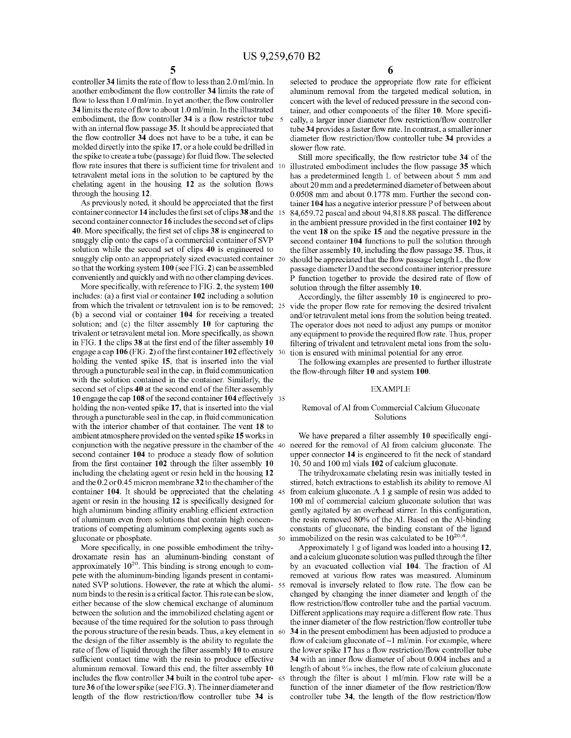controller 34limits the rate of flow to less than 2.0 ml/min. In another embodiment the flow controller **34** limits the rate of flow to less than 1.0 ml/min. In yet another, the flow controller 34limits the rate of flow to about 1.0 ml/min. In the illustrated embodiment, the flow controller **34** is a flow restrictor tube with an internal flow passage **35.** It should be appreciated that the flow controller **34** does not have to be a tube, it can be molded directly into the spike **17,** or a hole could be drilled in the spike to create a tube (passage) for fluid flow. The selected flow rate insures that there is sufficient time for trivalent and 10 tetravalent metal ions in the solution to be captured by the chelating agent in the housing **12** as the solution flows through the housing **12.** 

As previously noted, it should be appreciated that the first container connector **14** includes the first set of clips **38** and the 15 second container connector **16** includes the second set of clips **40.** More specifically, the first set of clips **38** is engineered to snuggly clip onto the caps of a commercial container of SVP solution while the second set of clips **40** is engineered to snuggly clip onto an appropriately sized evacuated container 20 so that the working system **100** (see FIG. **2)** can be assembled conveniently and quickly and with no other clamping devices.

More specifically, with reference to FIG. **2,** the system **100**  includes: (a) a first vial or container **102** including a solution from which the trivalent or tetravalent ion is to be removed; 25 vide the proper flow rate for removing the desired trivalent (b) a second vial or container **104** for receiving a treated solution; and (c) the filter assembly **10** for capturing the trivalent or tetravalent metal ion. More specifically, as shown in FIG. **1** the clips **38** at the first end of the filter assembly **10**  engage a cap **106** (FIG. **2)** of the firstcontainer102 effectively 30 holding the vented spike **15,** that is inserted into the vial through a puncturable seal in the cap, in fluid communication with the solution contained in the container. Similarly, the second set of clips **40** at the second end of the filter assembly conjunction with the negative pressure in the chamber of the 40 neered for the removal of Al from calcium gluconate. The **10** engage the cap **108** of the second container **104** effectively 35 holding the non-vented spike **17,** that is inserted into the vial through a puncturable seal in the cap, in fluid communication with the interior chamber of that container. The vent **18** to ambient atmosphere provided on the vented spike **15** works in second container **104** to produce a steady flow of solution from the first container **102** through the filter assembly **10**  including the chelating agent or resin held in the housing **12**  and the 0.2 or 0.45 micron membrane 3 **2** to the chamber of the container **104.** It should be appreciated that the chelating agent or resin in the housing **12** is specifically designed for high aluminum binding affinity enabling efficient extraction of aluminum even from solutions that contain high concentrations of competing aluminum complexing agents such as gluconate or phosphate.

More specifically, in one possible embodiment the trihydroxamate resin has an aluminum-binding constant of approximately  $10^{20}$ . This binding is strong enough to compete with the aluminum-binding ligands present in contaminated SVP solutions. However, the rate at which the aluminum binds to the resin is a critical factor. This rate can be slow, either because of the slow chemical exchange of aluminum between the solution and the immobilized chelating agent or because of the time required for the solution to pass through the porous structure of the resin beads. Thus, a key element in 60 the design of the filter assembly is the ability to regulate the rate of flow of liquid through the filter assembly 10 to ensure sufficient contact time with the resin to produce effective aluminum removal. Toward this end, the filter assembly **10**  includes the flow controller **34** built in the control tube aper- 65 ture36 of the lower spike (see FIG. 3). The inner diameter and length of the flow restriction/flow controller tube **34** is

**5 6** 

selected to produce the appropriate flow rate for efficient aluminum removal from the targeted medical solution, in concert with the level of reduced pressure in the second container, and other components of the filter **10.** More specifically, a larger inner diameter flow restriction/flow controller tube **34** provides a faster flow rate. In contrast, a smaller inner diameter flow restriction/flow controller tube **34** provides a slower flow rate.

Still more specifically, the flow restrictor tube **34** of the 10 illustrated embodiment includes the flow passage **35** which has a predetermined length L of between about 5 mm and about 20 mm and a predetermined diameter of between about 0.0508 mm and about 0.1778 mm. Further the second container 104 has a negative interior pressure P of between about 84,659.72 pascal and about 94,818.88 pascal. The difference in the ambient pressure provided in the first container **102** by the vent **18** on the spike **15** and the negative pressure in the second container **104** functions to pull the solution through the filter assembly **10,** including the flow passage **35.** Thus, it should be appreciated that the flow passage length L, the flow passage diameter D and the second container interior pressure P function together to provide the desired rate of flow of solution through the filter assembly **10.** 

Accordingly, the filter assembly **10** is engineered to proand/or tetravalent metal ions from the solution being treated. The operator does not need to adjust any pumps or monitor any equipment to provide the required flow rate. Thus, proper filtering of trivalent and tetravalent metal ions from the solution is ensured with minimal potential for any error.

The following examples are presented to further illustrate the flow-through filter **10** and system **100.** 

#### EXAMPLE

#### Removal of AI from Commercial Calcium Gluconate Solutions

We have prepared a filter assembly **10** specifically engiupper connector **14** is engineered to fit the neck of standard 10, 50 and 100 ml vials **102** of calcium gluconate.

The trihydroxamate chelating resin was initially tested in stirred, batch extractions to establish its ability to remove AI from calcium gluconate. A  $1$  g sample of resin was added to 100 ml of commercial calcium gluconate solution that was gently agitated by an overhead stirrer. In this configuration, the resin removed 80% of the AI. Based on the Al-binding constants of gluconate, the binding constant of the ligand 50 immobilized on the resin was calculated to be  $10^{20.4}$ .

Approximately 1 g of ligand was loaded into a housing 12, and a calcium gluconate solution was pulled through the filter by an evacuated collection vial **104.** The fraction of AI removed at various flow rates was measured. Aluminum removal is inversely related to flow rate. The flow can be changed by changing the inner diameter and length of the flow restriction/flow controller tube and the partial vacuum. Different applications may require a different flow rate. Thus the inner diameter of the flow restriction/flow controller tube **34** in the present embodiment has been adjusted to produce a flow of calcium gluconate of  $\sim$ 1 ml/min. For example, where the lower spike **17** has a flow restriction/flow controller tube **34** with an inner flow diameter of about 0.004 inches and a length of about  $\frac{9}{16}$  inches, the flow rate of calcium gluconate through the filter is about 1 ml/min. Flow rate will be a function of the inner diameter of the flow restriction/flow controller tube **34,** the length of the flow restriction/flow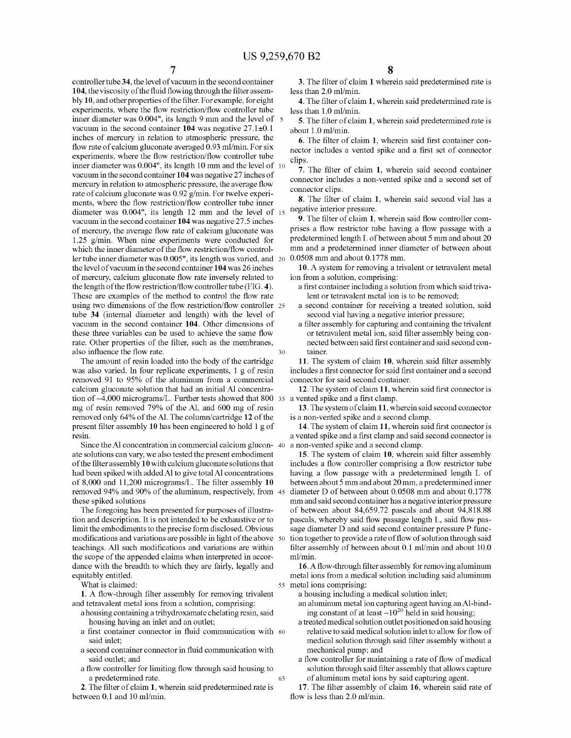controller tube **34,** the level of vacuum in the second container **104,** the viscosity of the fluid flowing through the filter assembly **10,** and other properties of the filter. For example, for eight experiments, where the flow restriction/flow controller tube inner diameter was 0.004", its length 9 mm and the level of 5 vacuum in the second container **104** was negative 27.1±0.1 inches of mercury in relation to atmospheric pressure, the flow rate of calcium gluconate averaged 0.93 ml/min. For six experiments, where the flow restriction/flow controller tube inner diameter was 0.004", its length 10 mm and the level of 10 vacuum in the second container **104** was negative 27 inches of mercury in relation to atmospheric pressure, the average flow rate of calcium gluconate was 0.92 g/min. For twelve experiments, where the flow restriction/flow controller tube inner diameter was 0.004", its length 12 mm and the level of 15 vacuum in the second container **104** was negative 27.5 inches of mercury, the average flow rate of calcium gluconate was 1.25 g/min. When nine experiments were conducted for which the inner diameter of the flow restriction/flow controller tube inner diameter was 0.005", its length was varied, and 20 the level of vacuum in the second container **104** was 26 inches of mercury, calcium gluconate flow rate inversely related to the length of the flow restriction/flow controller tube (FIG. **4).**  These are examples of the method to control the flow rate using two dimensions of the flow restriction/flow controller 25 tube **34** (internal diameter and length) with the level of vacuum in the second container **104.** Other dimensions of these three variables can be used to achieve the same flow rate. Other properties of the filter, such as the membranes, also influence the flow rate. 30

The amount of resin loaded into the body of the cartridge was also varied. In four replicate experiments, 1 g of resin removed 91 to 95% of the aluminum from a commercial calcium gluconate solution that had an initial AI concentration of  $-4,000$  micrograms/L. Further tests showed that 800  $35$  a mg of resin removed 79% of the AI, and 600 mg of resin removed only 64% of theA!. The column/cartridge **12** of the present filter assembly **10** has been engineered to hold 1 g of resin

Since the Al concentration in commercial calcium glucon-40 ate solutions can vary, we also tested the present embodiment of the filter assembly **10** with calcium gluconate solutions that had been spiked with added AI to give total AI concentrations of 8,000 and 11,200 micrograms/L. The filter assembly **10** between about 5 mm and about 20 mm, a predetermined inner removed 94% and 90% of the aluminum, respectively, from these spiked solutions

The foregoing has been presented for purposes of illustration and description. It is not intended to be exhaustive or to limit the embodiments to the precise form disclosed. Obvious modifications and variations are possible in light of the above 50 teachings. All such modifications and variations are within the scope of the appended claims when interpreted in accordance with the breadth to which they are fairly, legally and equitably entitled.

**1.** A flow-through filter assembly for removing trivalent and tetravalent metal ions from a solution, comprising:

- a housing containing a trihydroxamate chelating resin, said housing having an inlet and an outlet;
- a first container connector in fluid communication with 60 said inlet;
- a second container connector in fluid communication with said outlet; and
- a flow controller for limiting flow through said housing to a predetermined rate.

65

**2.** The filter of claim **1,** wherein said predetermined rate is between 0.1 and 10 ml/min.

**8** 

3. The filter of claim **1** wherein said predetermined rate is less than 2.0 ml/min.

**4.** The filter of claim **1,** wherein said predetermined rate is less than 1.0 ml/min.

**5.** The filter of claim **1,** wherein said predetermined rate is about 1.0 ml/min.

**6.** The filter of claim **1,** wherein said first container connector includes a vented spike and a first set of connector clips.

7. The filter of claim **1,** wherein said second container connector includes a non-vented spike and a second set of connector clips.

**8.** The filter of claim **1,** wherein said second vial has a negative interior pressure.

**9.** The filter of claim **1,** wherein said flow controller comprises a flow restrictor tube having a flow passage with a predetermined length L of between about 5 mm and about 20 mm and a predetermined inner diameter of between about 0.0508 mm and about 0.1778 mm.

**10.** A system for removing a trivalent or tetravalent metal ion from a solution, comprising:

- a first container including a solution from which said trivalent or tetravalent metal ion is to be removed;
- a second container for receiving a treated solution, said second vial having a negative interior pressure;
- a filter assembly for capturing and containing the trivalent or tetravalent metal ion, said filter assembly being connected between said first container and said second container.

**11.** The system of claim **10,** wherein said filter assembly includes a first connector for said first container and a second connector for said second container.

**12.** The system of claim **11,** wherein said first connector is vented spike and a first clamp.

**13.** The system of claim **11,** wherein said second connector is a non-vented spike and a second clamp.

**14.** The system of claim **11,** wherein said first connector is a vented spike and a first clamp and said second connector is a non-vented spike and a second clamp.

**15.** The system of claim **10,** wherein said filter assembly includes a flow controller comprising a flow restrictor tube having a flow passage with a predetermined length L of diameter D of between about 0.0508 mm and about 0.1778 mm and said second container has a negative interior pressure of between about 84,659.72 pascals and about 94,818.88 pascals, whereby said flow passage length L, said flow passage diameter D and said second container pressure P function together to provide a rate of flow of solution through said filter assembly of between about 0.1 ml/min and about 10.0 ml/min.

**16.** A flow-through filter assembly for removing aluminum metal ions from a medical solution including said aluminum What is claimed:  $\frac{55 \text{ metal ions comprising:}}{}$ 

a housing including a medical solution inlet;

- an aluminum metal ion capturing agent having anAl-binding constant of at least  $\sim 10^{20}$  held in said housing;
- a treated medical solution outlet positioned on said housing relative to said medical solution inlet to allow for flow of medical solution through said filter assembly without a mechanical pump; and
- a flow controller for maintaining a rate of flow of medical solution through said filter assembly that allows capture of aluminum metal ions by said capturing agent.

**17.** The filter assembly of claim **16,** wherein said rate of flow is less than 2.0 ml/min.